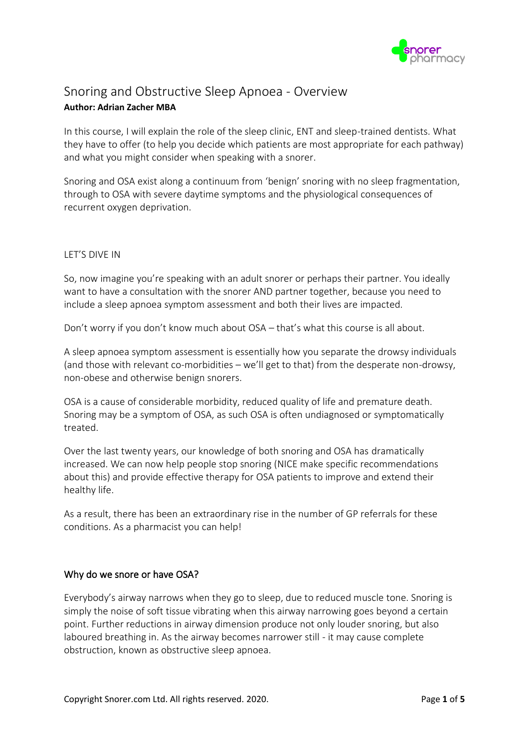

# Snoring and Obstructive Sleep Apnoea - Overview **Author: Adrian Zacher MBA**

In this course, I will explain the role of the sleep clinic, ENT and sleep-trained dentists. What they have to offer (to help you decide which patients are most appropriate for each pathway) and what you might consider when speaking with a snorer.

Snoring and OSA exist along a continuum from 'benign' snoring with no sleep fragmentation, through to OSA with severe daytime symptoms and the physiological consequences of recurrent oxygen deprivation.

# LET'S DIVE IN

So, now imagine you're speaking with an adult snorer or perhaps their partner. You ideally want to have a consultation with the snorer AND partner together, because you need to include a sleep apnoea symptom assessment and both their lives are impacted.

Don't worry if you don't know much about OSA – that's what this course is all about.

A sleep apnoea symptom assessment is essentially how you separate the drowsy individuals (and those with relevant co-morbidities – we'll get to that) from the desperate non-drowsy, non-obese and otherwise benign snorers.

OSA is a cause of considerable morbidity, reduced quality of life and premature death. Snoring may be a symptom of OSA, as such OSA is often undiagnosed or symptomatically treated.

Over the last twenty years, our knowledge of both snoring and OSA has dramatically increased. We can now help people stop snoring (NICE make specific recommendations about this) and provide effective therapy for OSA patients to improve and extend their healthy life.

As a result, there has been an extraordinary rise in the number of GP referrals for these conditions. As a pharmacist you can help!

### Why do we snore or have OSA?

Everybody's airway narrows when they go to sleep, due to reduced muscle tone. Snoring is simply the noise of soft tissue vibrating when this airway narrowing goes beyond a certain point. Further reductions in airway dimension produce not only louder snoring, but also laboured breathing in. As the airway becomes narrower still - it may cause complete obstruction, known as obstructive sleep apnoea.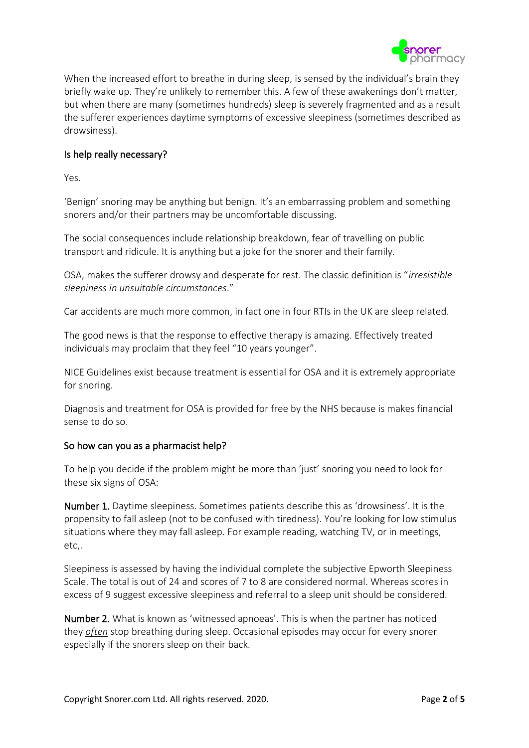

When the increased effort to breathe in during sleep, is sensed by the individual's brain they briefly wake up. They're unlikely to remember this. A few of these awakenings don't matter, but when there are many (sometimes hundreds) sleep is severely fragmented and as a result the sufferer experiences daytime symptoms of excessive sleepiness (sometimes described as drowsiness).

# Is help really necessary?

Yes.

'Benign' snoring may be anything but benign. It's an embarrassing problem and something snorers and/or their partners may be uncomfortable discussing.

The social consequences include relationship breakdown, fear of travelling on public transport and ridicule. It is anything but a joke for the snorer and their family.

OSA, makes the sufferer drowsy and desperate for rest. The classic definition is "*irresistible sleepiness in unsuitable circumstances*."

Car accidents are much more common, in fact one in four RTIs in the UK are sleep related.

The good news is that the response to effective therapy is amazing. Effectively treated individuals may proclaim that they feel "10 years younger".

NICE Guidelines exist because treatment is essential for OSA and it is extremely appropriate for snoring.

Diagnosis and treatment for OSA is provided for free by the NHS because is makes financial sense to do so.

### So how can you as a pharmacist help?

To help you decide if the problem might be more than 'just' snoring you need to look for these six signs of OSA:

Number 1. Daytime sleepiness. Sometimes patients describe this as 'drowsiness'. It is the propensity to fall asleep (not to be confused with tiredness). You're looking for low stimulus situations where they may fall asleep. For example reading, watching TV, or in meetings, etc,.

Sleepiness is assessed by having the individual complete the subjective Epworth Sleepiness Scale. The total is out of 24 and scores of 7 to 8 are considered normal. Whereas scores in excess of 9 suggest excessive sleepiness and referral to a sleep unit should be considered.

Number 2. What is known as 'witnessed apnoeas'. This is when the partner has noticed they *often* stop breathing during sleep. Occasional episodes may occur for every snorer especially if the snorers sleep on their back.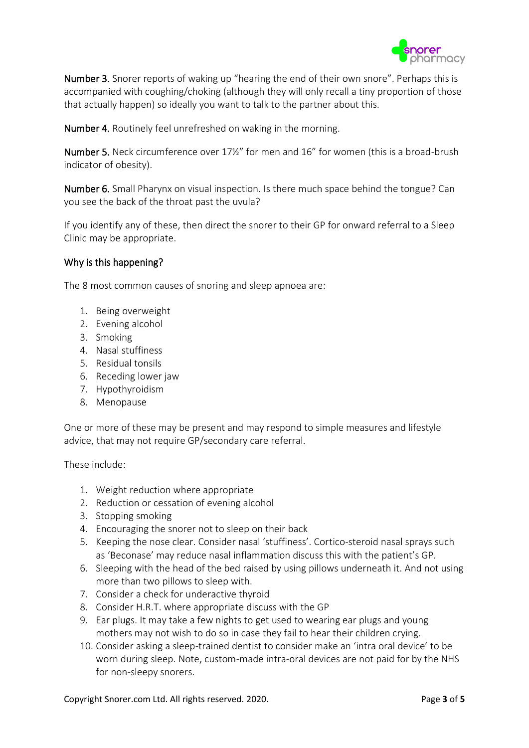

Number 3. Snorer reports of waking up "hearing the end of their own snore". Perhaps this is accompanied with coughing/choking (although they will only recall a tiny proportion of those that actually happen) so ideally you want to talk to the partner about this.

Number 4. Routinely feel unrefreshed on waking in the morning.

Number 5. Neck circumference over 17½" for men and 16" for women (this is a broad-brush indicator of obesity).

Number 6. Small Pharynx on visual inspection. Is there much space behind the tongue? Can you see the back of the throat past the uvula?

If you identify any of these, then direct the snorer to their GP for onward referral to a Sleep Clinic may be appropriate.

# Why is this happening?

The 8 most common causes of snoring and sleep apnoea are:

- 1. Being overweight
- 2. Evening alcohol
- 3. Smoking
- 4. Nasal stuffiness
- 5. Residual tonsils
- 6. Receding lower jaw
- 7. Hypothyroidism
- 8. Menopause

One or more of these may be present and may respond to simple measures and lifestyle advice, that may not require GP/secondary care referral.

These include:

- 1. Weight reduction where appropriate
- 2. Reduction or cessation of evening alcohol
- 3. Stopping smoking
- 4. Encouraging the snorer not to sleep on their back
- 5. Keeping the nose clear. Consider nasal 'stuffiness'. Cortico-steroid nasal sprays such as 'Beconase' may reduce nasal inflammation discuss this with the patient's GP.
- 6. Sleeping with the head of the bed raised by using pillows underneath it. And not using more than two pillows to sleep with.
- 7. Consider a check for underactive thyroid
- 8. Consider H.R.T. where appropriate discuss with the GP
- 9. Ear plugs. It may take a few nights to get used to wearing ear plugs and young mothers may not wish to do so in case they fail to hear their children crying.
- 10. Consider asking a sleep-trained dentist to consider make an 'intra oral device' to be worn during sleep. Note, custom-made intra-oral devices are not paid for by the NHS for non-sleepy snorers.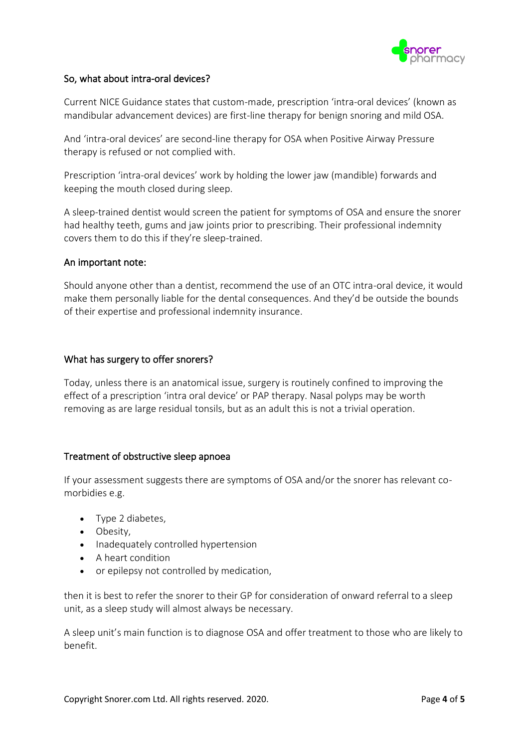

# So, what about intra-oral devices?

Current NICE Guidance states that custom-made, prescription 'intra-oral devices' (known as mandibular advancement devices) are first-line therapy for benign snoring and mild OSA.

And 'intra-oral devices' are second-line therapy for OSA when Positive Airway Pressure therapy is refused or not complied with.

Prescription 'intra-oral devices' work by holding the lower jaw (mandible) forwards and keeping the mouth closed during sleep.

A sleep-trained dentist would screen the patient for symptoms of OSA and ensure the snorer had healthy teeth, gums and jaw joints prior to prescribing. Their professional indemnity covers them to do this if they're sleep-trained.

#### An important note:

Should anyone other than a dentist, recommend the use of an OTC intra-oral device, it would make them personally liable for the dental consequences. And they'd be outside the bounds of their expertise and professional indemnity insurance.

### What has surgery to offer snorers?

Today, unless there is an anatomical issue, surgery is routinely confined to improving the effect of a prescription 'intra oral device' or PAP therapy. Nasal polyps may be worth removing as are large residual tonsils, but as an adult this is not a trivial operation.

### Treatment of obstructive sleep apnoea

If your assessment suggests there are symptoms of OSA and/or the snorer has relevant comorbidies e.g.

- Type 2 diabetes,
- Obesity,
- Inadequately controlled hypertension
- A heart condition
- or epilepsy not controlled by medication,

then it is best to refer the snorer to their GP for consideration of onward referral to a sleep unit, as a sleep study will almost always be necessary.

A sleep unit's main function is to diagnose OSA and offer treatment to those who are likely to benefit.